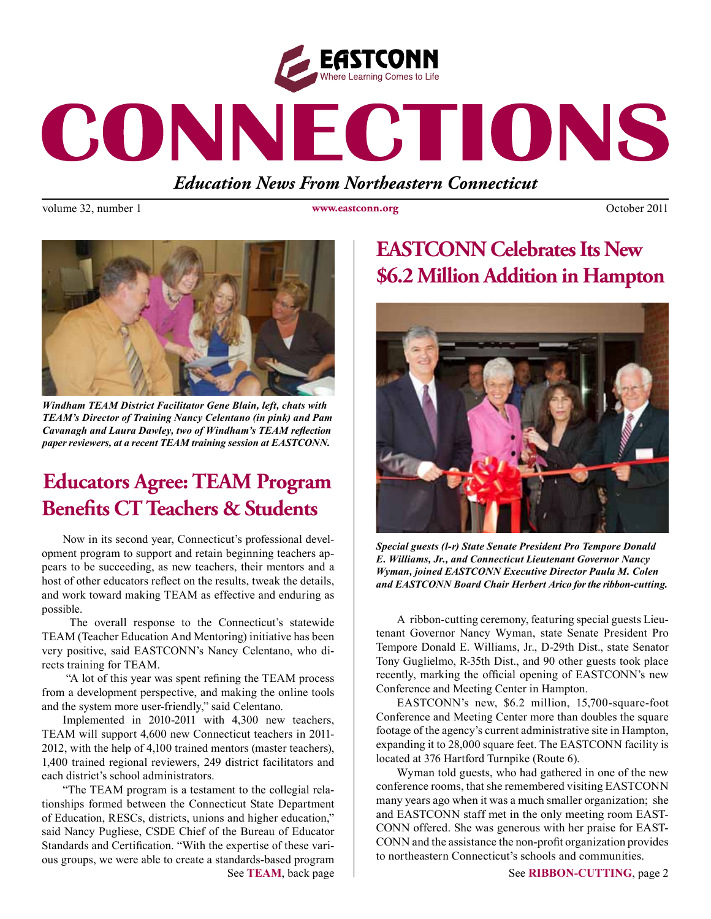

# CONNECTIONS

*Education News From Northeastern Connecticut*

volume 32, number 1 **www.eastconn.org C** October 2011



*Windham TEAM District Facilitator Gene Blain, left, chats with TEAM's Director of Training Nancy Celentano (in pink) and Pam Cavanagh and Laura Dawley, two of Windham's TEAM refection paper reviewers, at a recent TEAM training session at EASTCONN.* 

# **Educators Agree: TEAM Program Bene!ts CT Teachers & Students**

Now in its second year, Connecticut's professional development program to support and retain beginning teachers appears to be succeeding, as new teachers, their mentors and a host of other educators refect on the results, tweak the details, and work toward making TEAM as effective and enduring as possible.

 The overall response to the Connecticut's statewide TEAM (Teacher Education And Mentoring) initiative has been very positive, said EASTCONN's Nancy Celentano, who directs training for TEAM.

 "A lot of this year was spent refning the TEAM process from a development perspective, and making the online tools and the system more user-friendly," said Celentano.

Implemented in 2010-2011 with 4,300 new teachers, TEAM will support 4,600 new Connecticut teachers in 2011- 2012, with the help of 4,100 trained mentors (master teachers), 1,400 trained regional reviewers, 249 district facilitators and each district's school administrators.

"The TEAM program is a testament to the collegial relationships formed between the Connecticut State Department of Education, RESCs, districts, unions and higher education," said Nancy Pugliese, CSDE Chief of the Bureau of Educator Standards and Certifcation. "With the expertise of these various groups, we were able to create a standards-based program

# **EASTCONN Celebrates Its New \$6.2 Million Addition in Hampton**



*Special guests (l-r) State Senate President Pro Tempore Donald E. Williams, Jr., and Connecticut Lieutenant Governor Nancy Wyman, joined EASTCONN Executive Director Paula M. Colen and EASTCONN Board Chair Herbert Arico for the ribbon-cutting.*

A ribbon-cutting ceremony, featuring special guests Lieutenant Governor Nancy Wyman, state Senate President Pro Tempore Donald E. Williams, Jr., D-29th Dist., state Senator Tony Guglielmo, R-35th Dist., and 90 other guests took place recently, marking the official opening of EASTCONN's new Conference and Meeting Center in Hampton.

EASTCONN's new, \$6.2 million, 15,700-square-foot Conference and Meeting Center more than doubles the square footage of the agency's current administrative site in Hampton, expanding it to 28,000 square feet. The EASTCONN facility is located at 376 Hartford Turnpike (Route 6).

Wyman told guests, who had gathered in one of the new conference rooms, that she remembered visiting EASTCONN many years ago when it was a much smaller organization; she and EASTCONN staff met in the only meeting room EAST-CONN offered. She was generous with her praise for EAST-CONN and the assistance the non-proft organization provides to northeastern Connecticut's schools and communities.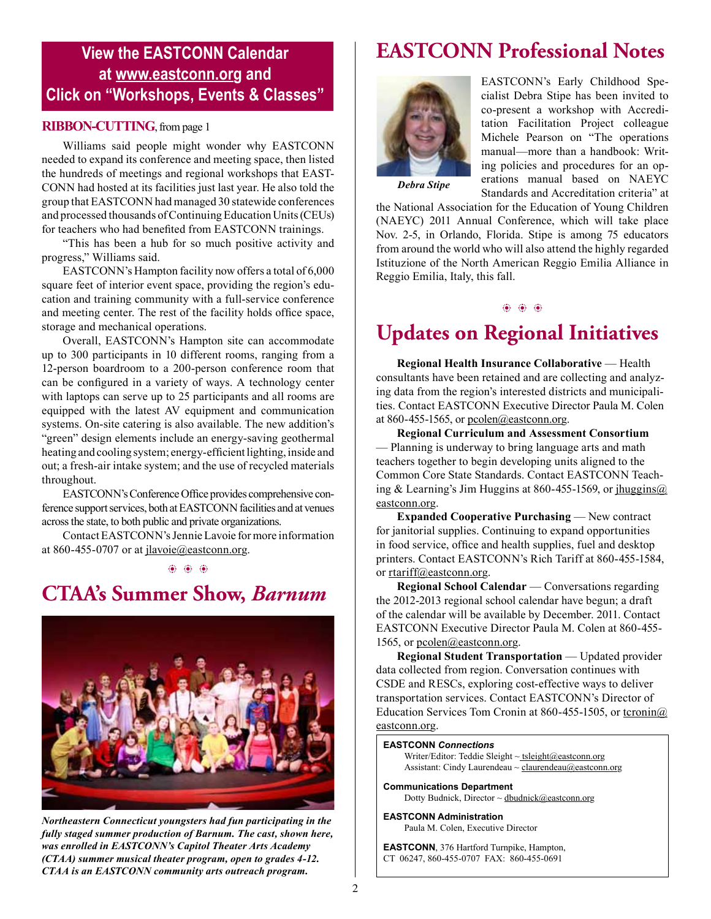#### **View the EASTCONN Calendar at <www.eastconn.org> and Click on "Workshops, Events & Classes"**

#### **RIBBON-CUTTING**, from page 1

Williams said people might wonder why EASTCONN needed to expand its conference and meeting space, then listed the hundreds of meetings and regional workshops that EAST-CONN had hosted at its facilities just last year. He also told the group that EASTCONN had managed 30 statewide conferences and processed thousands of Continuing Education Units (CEUs) for teachers who had benefted from EASTCONN trainings.

"This has been a hub for so much positive activity and progress," Williams said.

EASTCONN's Hampton facility now offers a total of 6,000 square feet of interior event space, providing the region's education and training community with a full-service conference and meeting center. The rest of the facility holds office space, storage and mechanical operations.

Overall, EASTCONN's Hampton site can accommodate up to 300 participants in 10 different rooms, ranging from a 12-person boardroom to a 200-person conference room that can be confgured in a variety of ways. A technology center with laptops can serve up to 25 participants and all rooms are equipped with the latest AV equipment and communication systems. On-site catering is also available. The new addition's "green" design elements include an energy-saving geothermal heating and cooling system; energy-effcient lighting, inside and out; a fresh-air intake system; and the use of recycled materials throughout.

EASTCONN's Conference Office provides comprehensive conference support services, both at EASTCONN facilities and at venues across the state, to both public and private organizations.

Contact EASTCONN's Jennie Lavoie for more information at 860-455-0707 or at jlavoie@eastconn.org.

b b b

# **CTAA's Summer Show,** *Barnum*



*Northeastern Connecticut youngsters had fun participating in the fully staged summer production of Barnum. The cast, shown here, was enrolled in EASTCONN's Capitol Theater Arts Academy (CTAA) summer musical theater program, open to grades 4-12. CTAA is an EASTCONN community arts outreach program.* 

# **EASTCONN Professional Notes**



EASTCONN's Early Childhood Specialist Debra Stipe has been invited to co-present a workshop with Accreditation Facilitation Project colleague Michele Pearson on "The operations manual—more than a handbook: Writing policies and procedures for an operations manual based on NAEYC Standards and Accreditation criteria" at

*Debra Stipe*

the National Association for the Education of Young Children (NAEYC) 2011 Annual Conference, which will take place Nov. 2-5, in Orlando, Florida. Stipe is among 75 educators from around the world who will also attend the highly regarded Istituzione of the North American Reggio Emilia Alliance in Reggio Emilia, Italy, this fall.

#### $66.66.66$

## **Updates on Regional Initiatives**

**Regional Health Insurance Collaborative** — Health consultants have been retained and are collecting and analyzing data from the region's interested districts and municipalities. Contact EASTCONN Executive Director Paula M. Colen at 860-455-1565, or pcolen@eastconn.org.

**Regional Curriculum and Assessment Consortium** — Planning is underway to bring language arts and math teachers together to begin developing units aligned to the Common Core State Standards. Contact EASTCONN Teaching & Learning's Jim Huggins at 860-455-1569, or  $\frac{\text{ihugging}(a)}{\text{hugging}(a)}$ eastconn.org.

**Expanded Cooperative Purchasing** — New contract for janitorial supplies. Continuing to expand opportunities in food service, offce and health supplies, fuel and desktop printers. Contact EASTCONN's Rich Tariff at 860-455-1584, or rtariff@eastconn.org.

**Regional School Calendar** — Conversations regarding the 2012-2013 regional school calendar have begun; a draft of the calendar will be available by December. 2011. Contact EASTCONN Executive Director Paula M. Colen at 860-455- 1565, or pcolen@eastconn.org.

**Regional Student Transportation** — Updated provider data collected from region. Conversation continues with CSDE and RESCs, exploring cost-effective ways to deliver transportation services. Contact EASTCONN's Director of Education Services Tom Cronin at 860-455-1505, or tcronin@ eastconn.org.

#### **EASTCONN** *Connections*

Writer/Editor: Teddie Sleight  $\sim$  tsleigh[t@eastconn.org](mailto:tsleight@eastconn.org) Assistant: Cindy Laurendeau ~ [claurendeau@eastconn.org](mailto:claurendeau@eastconn.org)

**[Communications Department](%20mailto:connections@eastconn.org)** [Dotty Budnick,](mailto:dbudnick@eastconn.org) Director ~ [dbudnick@eastconn.org](http://mailto:dbudnick@eastconn.org)

#### **EASTCONN Administration**

Paula M. Colen, Executive Director

**EASTCONN**, 376 Hartford Turnpike, Hampton, CT 06247, 860-455-0707 FAX: 860-455-0691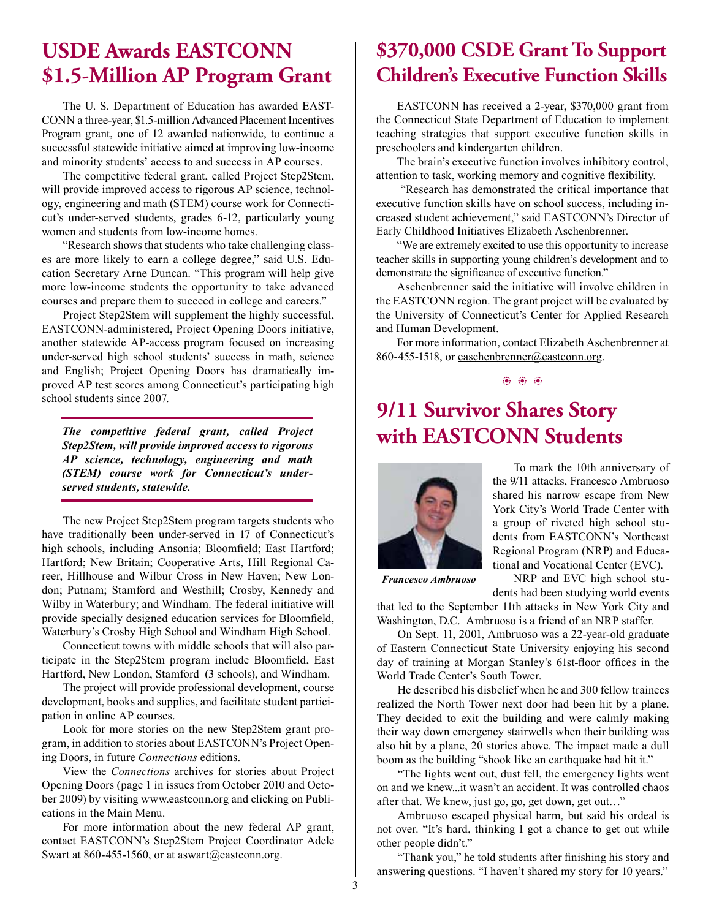## **USDE Awards EASTCONN \$1.5-Million AP Program Grant**

The U. S. Department of Education has awarded EAST-CONN a three-year, \$1.5-million Advanced Placement Incentives Program grant, one of 12 awarded nationwide, to continue a successful statewide initiative aimed at improving low-income and minority students' access to and success in AP courses.

The competitive federal grant, called Project Step2Stem, will provide improved access to rigorous AP science, technology, engineering and math (STEM) course work for Connecticut's under-served students, grades 6-12, particularly young women and students from low-income homes.

"Research shows that students who take challenging classes are more likely to earn a college degree," said U.S. Education Secretary Arne Duncan. "This program will help give more low-income students the opportunity to take advanced courses and prepare them to succeed in college and careers."

Project Step2Stem will supplement the highly successful, EASTCONN-administered, Project Opening Doors initiative, another statewide AP-access program focused on increasing under-served high school students' success in math, science and English; Project Opening Doors has dramatically improved AP test scores among Connecticut's participating high school students since 2007.

*The competitive federal grant, called Project Step2Stem, will provide improved access to rigorous AP science, technology, engineering and math (STEM) course work for Connecticut's underserved students, statewide.*

The new Project Step2Stem program targets students who have traditionally been under-served in 17 of Connecticut's high schools, including Ansonia; Bloomfeld; East Hartford; Hartford; New Britain; Cooperative Arts, Hill Regional Career, Hillhouse and Wilbur Cross in New Haven; New London; Putnam; Stamford and Westhill; Crosby, Kennedy and Wilby in Waterbury; and Windham. The federal initiative will provide specially designed education services for Bloomfeld, Waterbury's Crosby High School and Windham High School.

Connecticut towns with middle schools that will also participate in the Step2Stem program include Bloomfeld, East Hartford, New London, Stamford (3 schools), and Windham.

The project will provide professional development, course development, books and supplies, and facilitate student participation in online AP courses.

Look for more stories on the new Step2Stem grant program, in addition to stories about EASTCONN's Project Opening Doors, in future *Connections* editions.

View the *Connections* archives for stories about Project Opening Doors (page 1 in issues from October 2010 and October 2009) by visiting www.eastconn.org and clicking on Publications in the Main Menu.

For more information about the new federal AP grant, contact EASTCONN's Step2Stem Project Coordinator Adele Swart at 860-455-1560, or at aswart@eastconn.org.

## **\$370,000 CSDE Grant To Support Children's Executive Function Skills**

EASTCONN has received a 2-year, \$370,000 grant from the Connecticut State Department of Education to implement teaching strategies that support executive function skills in preschoolers and kindergarten children.

The brain's executive function involves inhibitory control, attention to task, working memory and cognitive fexibility.

 "Research has demonstrated the critical importance that executive function skills have on school success, including increased student achievement," said EASTCONN's Director of Early Childhood Initiatives Elizabeth Aschenbrenner.

"We are extremely excited to use this opportunity to increase teacher skills in supporting young children's development and to demonstrate the signifcance of executive function."

Aschenbrenner said the initiative will involve children in the EASTCONN region. The grant project will be evaluated by the University of Connecticut's Center for Applied Research and Human Development.

For more information, contact Elizabeth Aschenbrenner at 860-455-1518, or easchenbrenner@eastconn.org.

b b b

## **9/11 Survivor Shares Story with EASTCONN Students**



To mark the 10th anniversary of the 9/11 attacks, Francesco Ambruoso shared his narrow escape from New York City's World Trade Center with a group of riveted high school students from EASTCONN's Northeast Regional Program (NRP) and Educational and Vocational Center (EVC).

*Francesco Ambruoso*

NRP and EVC high school students had been studying world events

that led to the September 11th attacks in New York City and Washington, D.C. Ambruoso is a friend of an NRP staffer.

On Sept. 11, 2001, Ambruoso was a 22-year-old graduate of Eastern Connecticut State University enjoying his second day of training at Morgan Stanley's 61st-floor offices in the World Trade Center's South Tower.

He described his disbelief when he and 300 fellow trainees realized the North Tower next door had been hit by a plane. They decided to exit the building and were calmly making their way down emergency stairwells when their building was also hit by a plane, 20 stories above. The impact made a dull boom as the building "shook like an earthquake had hit it."

"The lights went out, dust fell, the emergency lights went on and we knew...it wasn't an accident. It was controlled chaos after that. We knew, just go, go, get down, get out…"

Ambruoso escaped physical harm, but said his ordeal is not over. "It's hard, thinking I got a chance to get out while other people didn't."

"Thank you," he told students after fnishing his story and answering questions. "I haven't shared my story for 10 years."